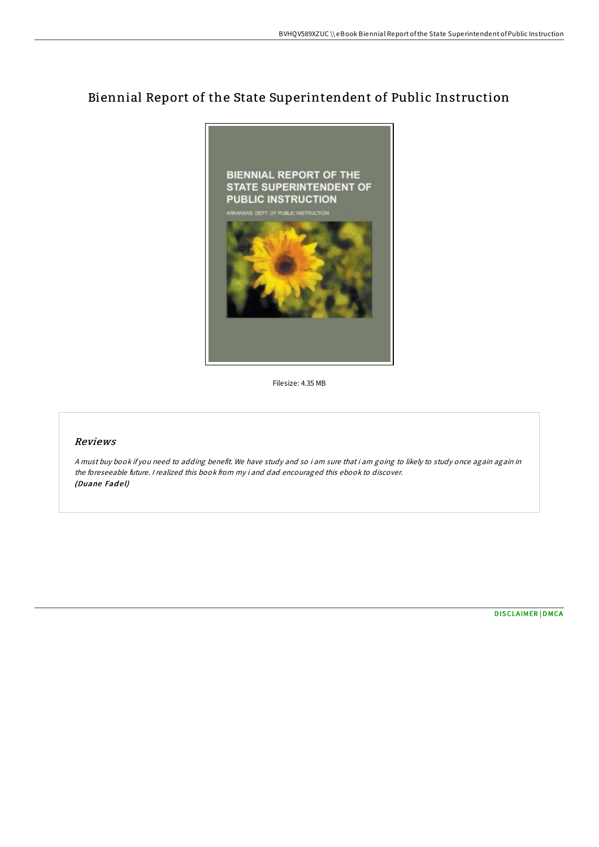## Biennial Report of the State Superintendent of Public Instruction



Filesize: 4.35 MB

## Reviews

<sup>A</sup> must buy book if you need to adding benefit. We have study and so i am sure that i am going to likely to study once again again in the foreseeable future. <sup>I</sup> realized this book from my i and dad encouraged this ebook to discover. (Duane Fadel)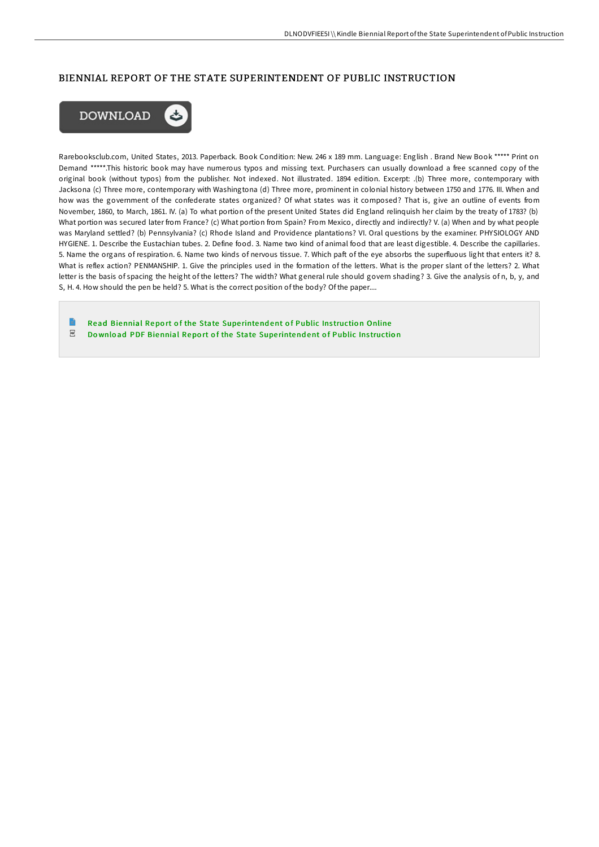## BIENNIAL REPORT OF THE STATE SUPERINTENDENT OF PUBLIC INSTRUCTION



Rarebooksclub.com, United States, 2013. Paperback. Book Condition: New. 246 x 189 mm. Language: English . Brand New Book \*\*\*\*\* Print on Demand \*\*\*\*\*.This historic book may have numerous typos and missing text. Purchasers can usually download a free scanned copy of the original book (without typos) from the publisher. Not indexed. Not illustrated. 1894 edition. Excerpt: .(b) Three more, contemporary with Jacksona (c) Three more, contemporary with Washingtona (d) Three more, prominent in colonial history between 1750 and 1776. III. When and how was the government of the confederate states organized? Of what states was it composed? That is, give an outline of events from November, 1860, to March, 1861. IV. (a) To what portion of the present United States did England relinquish her claim by the treaty of 1783? (b) What portion was secured later from France? (c) What portion from Spain? From Mexico, directly and indirectly? V. (a) When and by what people was Maryland settled? (b) Pennsylvania? (c) Rhode Island and Providence plantations? VI. Oral questions by the examiner. PHYSIOLOGY AND HYGIENE. 1. Describe the Eustachian tubes. 2. Define food. 3. Name two kind of animal food that are least digestible. 4. Describe the capillaries. 5. Name the organs of respiration. 6. Name two kinds of nervous tissue. 7. Which paft of the eye absorbs the superfluous light that enters it? 8. What is reflex action? PENMANSHIP. 1. Give the principles used in the formation of the letters. What is the proper slant of the letters? 2. What letter is the basis of spacing the height of the letters? The width? What general rule should govern shading? 3. Give the analysis of n, b, y, and S, H. 4. How should the pen be held? 5. What is the correct position of the body? Of the paper....

Read [Biennial](http://almighty24.tech/biennial-report-of-the-state-superintendent-of-p.html) Report of the State Superintendent of Public Instruction Online  $_{\rm PDF}$ Do wnload PDF [Biennial](http://almighty24.tech/biennial-report-of-the-state-superintendent-of-p.html) Report of the State Superintendent of Public Instruction